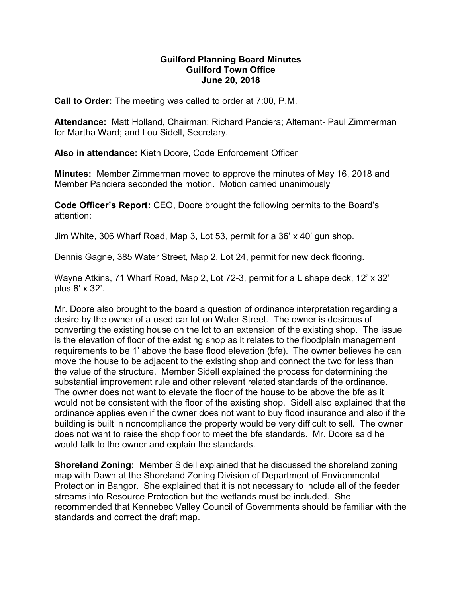## Guilford Planning Board Minutes Guilford Town Office June 20, 2018

Call to Order: The meeting was called to order at 7:00, P.M.

Attendance: Matt Holland, Chairman; Richard Panciera; Alternant- Paul Zimmerman for Martha Ward; and Lou Sidell, Secretary.

Also in attendance: Kieth Doore, Code Enforcement Officer

Minutes: Member Zimmerman moved to approve the minutes of May 16, 2018 and Member Panciera seconded the motion. Motion carried unanimously

Code Officer's Report: CEO, Doore brought the following permits to the Board's attention:

Jim White, 306 Wharf Road, Map 3, Lot 53, permit for a 36' x 40' gun shop.

Dennis Gagne, 385 Water Street, Map 2, Lot 24, permit for new deck flooring.

Wayne Atkins, 71 Wharf Road, Map 2, Lot 72-3, permit for a L shape deck, 12' x 32' plus 8' x 32'.

Mr. Doore also brought to the board a question of ordinance interpretation regarding a desire by the owner of a used car lot on Water Street. The owner is desirous of converting the existing house on the lot to an extension of the existing shop. The issue is the elevation of floor of the existing shop as it relates to the floodplain management requirements to be 1' above the base flood elevation (bfe). The owner believes he can move the house to be adjacent to the existing shop and connect the two for less than the value of the structure. Member Sidell explained the process for determining the substantial improvement rule and other relevant related standards of the ordinance. The owner does not want to elevate the floor of the house to be above the bfe as it would not be consistent with the floor of the existing shop. Sidell also explained that the ordinance applies even if the owner does not want to buy flood insurance and also if the building is built in noncompliance the property would be very difficult to sell. The owner does not want to raise the shop floor to meet the bfe standards. Mr. Doore said he would talk to the owner and explain the standards.

Shoreland Zoning: Member Sidell explained that he discussed the shoreland zoning map with Dawn at the Shoreland Zoning Division of Department of Environmental Protection in Bangor. She explained that it is not necessary to include all of the feeder streams into Resource Protection but the wetlands must be included. She recommended that Kennebec Valley Council of Governments should be familiar with the standards and correct the draft map.